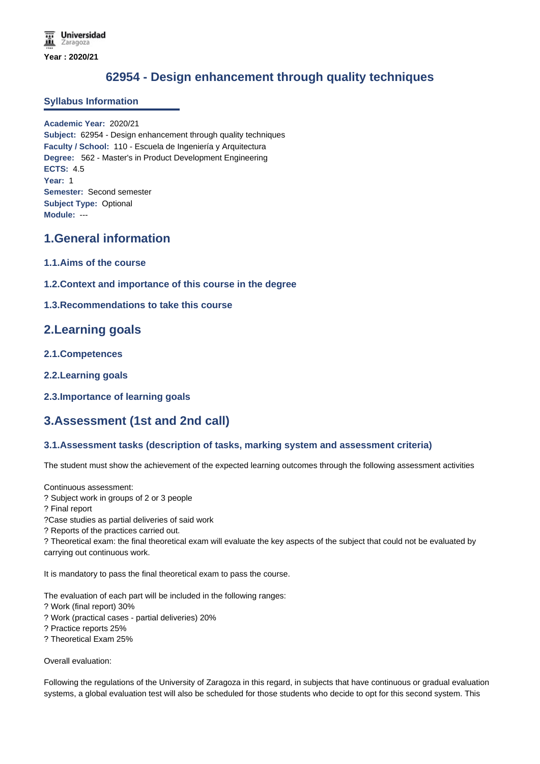# **62954 - Design enhancement through quality techniques**

### **Syllabus Information**

**Academic Year:** 2020/21 **Subject:** 62954 - Design enhancement through quality techniques **Faculty / School:** 110 - Escuela de Ingeniería y Arquitectura **Degree:** 562 - Master's in Product Development Engineering **ECTS:** 4.5 **Year:** 1 **Semester:** Second semester **Subject Type:** Optional **Module:** ---

# **1.General information**

- **1.1.Aims of the course**
- **1.2.Context and importance of this course in the degree**

### **1.3.Recommendations to take this course**

### **2.Learning goals**

- **2.1.Competences**
- **2.2.Learning goals**
- **2.3.Importance of learning goals**

## **3.Assessment (1st and 2nd call)**

### **3.1.Assessment tasks (description of tasks, marking system and assessment criteria)**

The student must show the achievement of the expected learning outcomes through the following assessment activities

Continuous assessment:

- ? Subject work in groups of 2 or 3 people
- ? Final report

?Case studies as partial deliveries of said work

? Reports of the practices carried out.

? Theoretical exam: the final theoretical exam will evaluate the key aspects of the subject that could not be evaluated by carrying out continuous work.

It is mandatory to pass the final theoretical exam to pass the course.

The evaluation of each part will be included in the following ranges:

- ? Work (final report) 30%
- ? Work (practical cases partial deliveries) 20%
- ? Practice reports 25%
- ? Theoretical Exam 25%

Overall evaluation:

Following the regulations of the University of Zaragoza in this regard, in subjects that have continuous or gradual evaluation systems, a global evaluation test will also be scheduled for those students who decide to opt for this second system. This